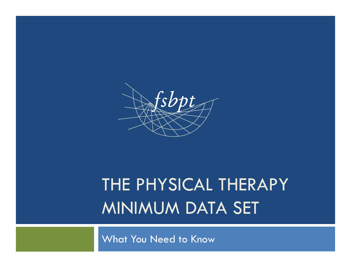

# THE PHYSICAL THERAPY MINIMUM DATA SET

What You Need to Know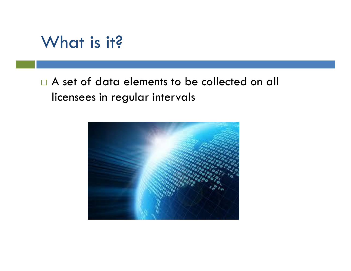#### What is it?

#### □ A set of data elements to be collected on all licensees in regular intervals

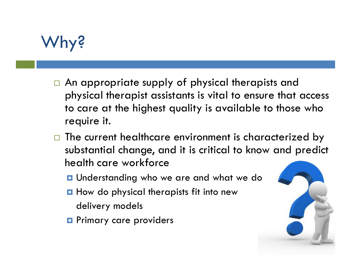## **hy?**

- $\Box$  An appropriate supply of physical therapists and physical therapist assistants is vital to ensure that access to care at the highest quality is available to those who require it.
- $\Box$  The current healthcare environment is characterized by substantial change, and it is critical to know and predict health care workforce
	- **Q** Understanding who we are and what we do
	- **Q** How do physical therapists fit into new
		- delivery models
	- **Q** Primary care providers

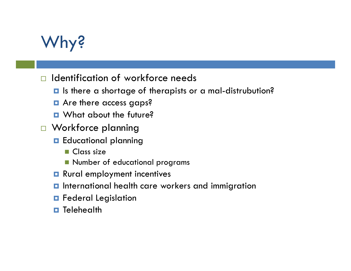## Why?

- $\Box$  Identification of workforce needs
	- § Is there a shortage of therapists or a mal-distrubution?
	- Are there access gaps?
	- $\blacksquare$  What about the future?
- □ Workforce planning
	- Educational planning
		- $\blacksquare$  Class size
		- **n** Number of educational programs
	- **<u>n</u>** Rural employment incentives
	- **<u>E</u>** International health care workers and immigration
	- **<u>n</u>** Federal Legislation
	- **E** Telehealth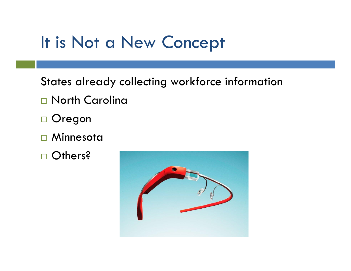## It is Not a New Concept

States already collecting workforce information

- □ North Carolina
- □ Oregon
- $\square$  Minnesota
- □ Others?

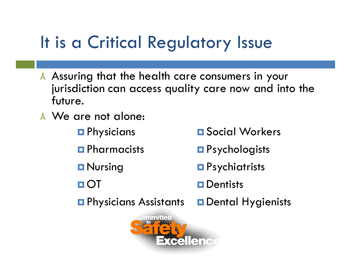## It is a Critical Regulatory Issue

- Assuring that the health care consumers in your jurisdiction can access quality care now and into the future.
- We are not alone:
	- **□** Physicians
	- **□** Pharmacists
	- **□** Nursing
	- § OT
	- Physicians Assistants
		- oniniudi  $\rightarrow$   $\sim$   $\sim$
- § Social Workers
- Psychologists
- **□** Psychiatrists
- **□** Dentists
- Dental Hygienists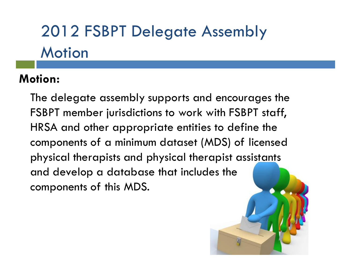# 2012 FSBPT Delegate Assembly **Motion**

#### **Motion:**

The delegate assembly supports and encourages the FSBPT member jurisdictions to work with FSBPT staff, HRSA and other appropriate entities to define the components of a minimum dataset (MDS) of licensed physical therapists and physical therapist assistants and develop a database that includes the components of this MDS.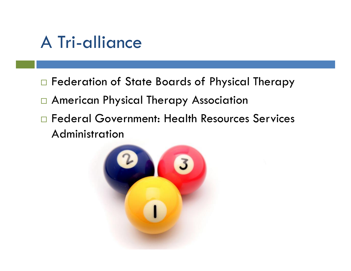## A Tri-alliance

- □ Federation of State Boards of Physical Therapy
- □ American Physical Therapy Association
- □ Federal Government: Health Resources Services Administration

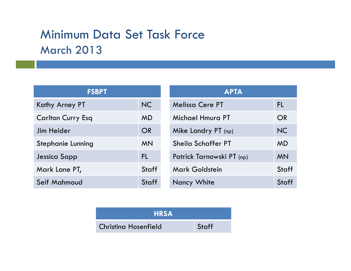#### Minimum Data Set Task Force March 2013

| <b>FSBPT</b>             |           |  |
|--------------------------|-----------|--|
| Kathy Arney PT           | <b>NC</b> |  |
| <b>Carlton Curry Esq</b> | <b>MD</b> |  |
| Jim Heider               | OR        |  |
| Stephanie Lunning        | <b>MN</b> |  |
| Jessica Sapp             | FL        |  |
| Mark Lane PT,            | Staff     |  |
| Seif Mahmoud             | Staff     |  |

| <b>APTA</b>               |              |  |
|---------------------------|--------------|--|
| <b>Melissa Cere PT</b>    | FL           |  |
| Michael Hmura PT          | OR           |  |
| Mike Landry PT (np)       | <b>NC</b>    |  |
| Sheila Schaffer PT        | <b>MD</b>    |  |
| Patrick Tarnowski PT (np) | <b>MN</b>    |  |
| <b>Mark Goldstein</b>     | <b>Staff</b> |  |
| <b>Nancy White</b>        | Staff        |  |

| <b>HRSA</b>                 |       |  |
|-----------------------------|-------|--|
| <b>Christing Hosenfield</b> | Staff |  |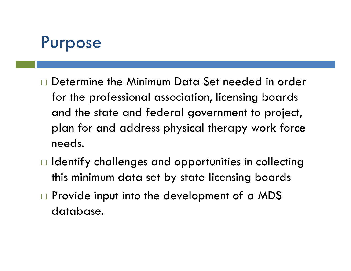## Purpose

- Determine the Minimum Data Set needed in order for the professional association, licensing boards and the state and federal government to project, plan for and address physical therapy work force needs.
- $\Box$  Identify challenges and opportunities in collecting this minimum data set by state licensing boards
- $\square$  Provide input into the development of a MDS database.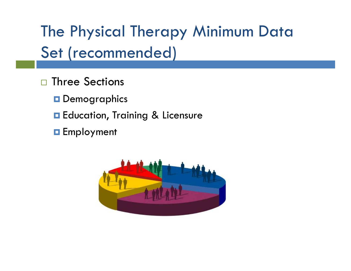The Physical Therapy Minimum Data Set (recommended)

- $\square$  Three Sections
	- **O** Demographics
	- **□** Education, Training & Licensure
	- **<u>n</u>** Employment

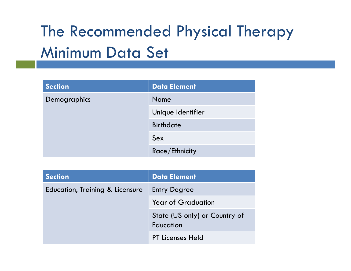## The Recommended Physical Therapy Minimum Data Set

| <b>Section</b> | <b>Data Element</b> |
|----------------|---------------------|
| Demographics   | Name                |
|                | Unique Identifier   |
|                | <b>Birthdate</b>    |
|                | Sex                 |
|                | Race/Ethnicity      |

| <b>Section</b>                  | Data Element                               |
|---------------------------------|--------------------------------------------|
| Education, Training & Licensure | <b>Entry Degree</b>                        |
|                                 | <b>Year of Graduation</b>                  |
|                                 | State (US only) or Country of<br>Education |
|                                 | <b>PT Licenses Held</b>                    |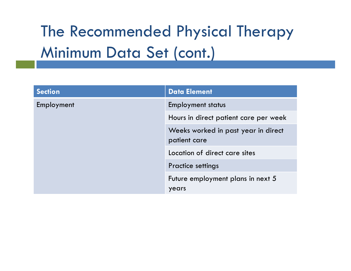## The Recommended Physical Therapy Minimum Data Set (cont.)

| <b>Section</b> | <b>Data Element</b>                                 |
|----------------|-----------------------------------------------------|
| Employment     | <b>Employment status</b>                            |
|                | Hours in direct patient care per week               |
|                | Weeks worked in past year in direct<br>patient care |
|                | Location of direct care sites                       |
|                | <b>Practice settings</b>                            |
|                | Future employment plans in next 5                   |
|                | years                                               |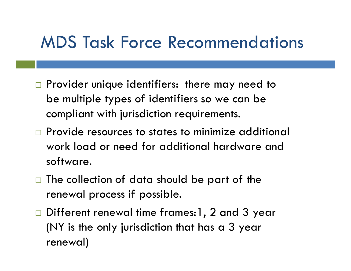#### MDS Task Force Recommendations

- $\square$  Provider unique identifiers: there may need to be multiple types of identifiers so we can be compliant with jurisdiction requirements.
- $\Box$  Provide resources to states to minimize additional work load or need for additional hardware and software.
- $\Box$  The collection of data should be part of the renewal process if possible.
- □ Different renewal time frames:1, 2 and 3 year (NY is the only jurisdiction that has a 3 year renewal)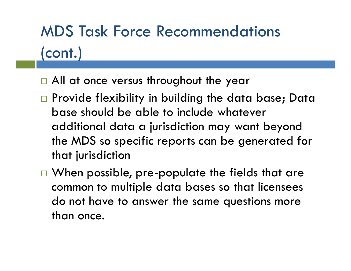# MDS Task Force Recommendations (cont.)

- □ All at once versus throughout the year
- □ Provide flexibility in building the data base; Data base should be able to include whatever additional data a jurisdiction may want beyond the MDS so specific reports can be generated for that jurisdiction
- $\Box$  When possible, pre-populate the fields that are common to multiple data bases so that licensees do not have to answer the same questions more than once.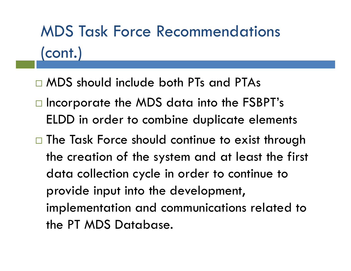# MDS Task Force Recommendations (cont.)

- ® MDS should include both PTs and PTAs
- □ Incorporate the MDS data into the FSBPT's ELDD in order to combine duplicate elements
- □ The Task Force should continue to exist through the creation of the system and at least the first data collection cycle in order to continue to provide input into the development, implementation and communications related to the PT MDS Database.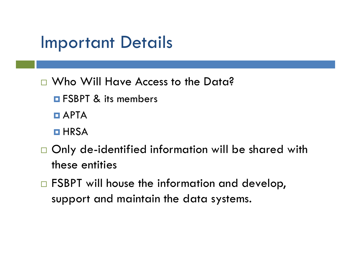## Important Details

- □ Who Will Have Access to the Data?
	- **<u>External E</u>** FSBPT & its members
	- $\blacksquare$  APTA
	- **E** HRSA
- $\Box$  Only de-identified information will be shared with these entities
- $\Box$  FSBPT will house the information and develop, support and maintain the data systems.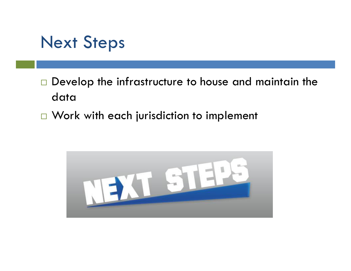#### Next Steps

- $\Box$  Develop the infrastructure to house and maintain the data
- $\Box$  Work with each jurisdiction to implement

![](_page_17_Picture_3.jpeg)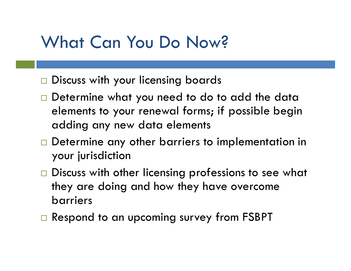## What Can You Do Now?

- Discuss with your licensing boards
- Determine what you need to do to add the data elements to your renewal forms; if possible begin adding any new data elements
- $\Box$  Determine any other barriers to implementation in your jurisdiction
- $\Box$  Discuss with other licensing professions to see what they are doing and how they have overcome barriers
- $\Box$  Respond to an upcoming survey from FSBPT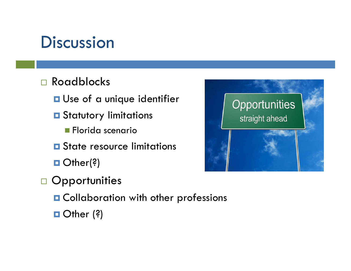## **Discussion**

#### □ Roadblocks

- **<u>a</u>** Use of a unique identifier
- **□** Statutory limitations
	- **n Florida scenario**
- **□** State resource limitations
- □ Other(?)
- □ Opportunities
	- Collaboration with other professions
	- Other (?)

![](_page_19_Picture_10.jpeg)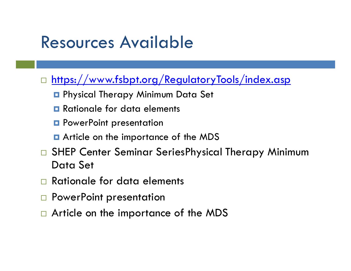## Resources Available

- https://www.fsbpt.org/RegulatoryTools/index.asp
	- Physical Therapy Minimum Data Set
	- **□** Rationale for data elements
	- **□** PowerPoint presentation
	- Article on the importance of the MDS
- □ SHEP Center Seminar SeriesPhysical Therapy Minimum Data Set
- Rationale for data elements
- □ PowerPoint presentation
- ® Article on the importance of the MDS